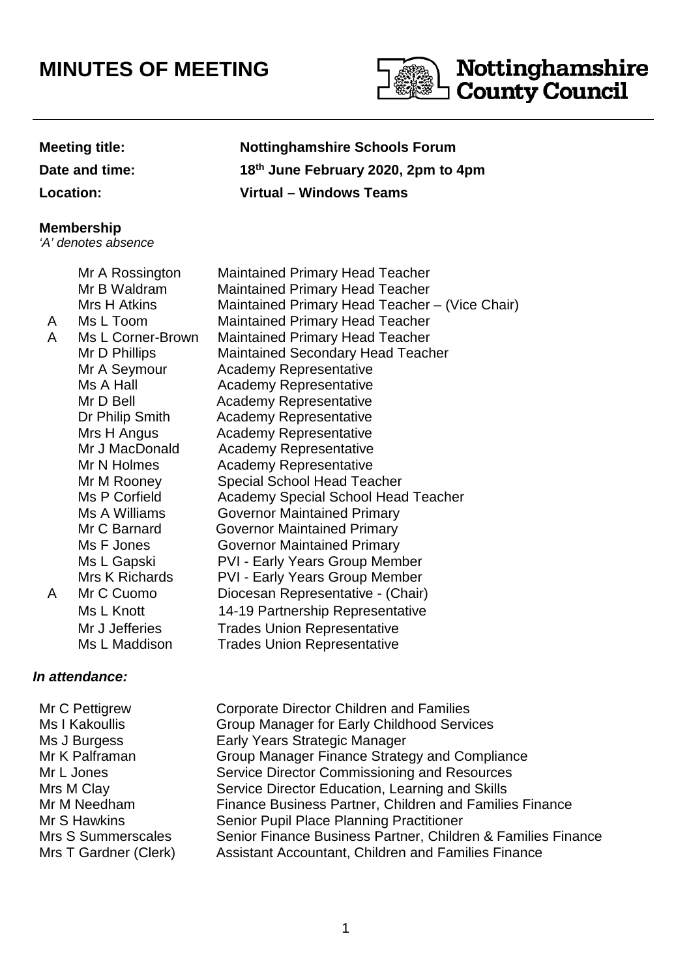## **MINUTES OF MEETING**



## **Meeting title: Nottinghamshire Schools Forum**

**Date and time: 18th June February 2020, 2pm to 4pm**

**Location: Virtual – Windows Teams**

## **Membership**

'A' denotes absence

 Mr A Rossington Maintained Primary Head Teacher Mr B Waldram Maintained Primary Head Teacher Mrs H Atkins Maintained Primary Head Teacher – (Vice Chair) A Ms L Toom Maintained Primary Head Teacher A Ms L Corner-Brown Maintained Primary Head Teacher Mr D Phillips Maintained Secondary Head Teacher Mr A Seymour Academy Representative Ms A Hall **Academy Representative** Mr D Bell **Academy Representative** Dr Philip Smith Academy Representative Mrs H Angus **Academy Representative** Mr J MacDonald Academy Representative Mr N Holmes Academy Representative Mr M Rooney Special School Head Teacher Ms P Corfield Academy Special School Head Teacher Ms A Williams Governor Maintained Primary Mr C Barnard Governor Maintained Primary Ms F Jones **Governor Maintained Primary** Ms L Gapski PVI - Early Years Group Member Mrs K Richards PVI - Early Years Group Member A Mr C Cuomo Diocesan Representative - (Chair) Ms L Knott 14-19 Partnership Representative Mr J Jefferies Trades Union Representative Ms L Maddison Trades Union Representative

## **In attendance:**

Mr C Pettigrew Corporate Director Children and Families Ms I Kakoullis Group Manager for Early Childhood Services Ms J Burgess **Early Years Strategic Manager** Mr K Palframan Group Manager Finance Strategy and Compliance Mr L Jones Service Director Commissioning and Resources Mrs M Clay Service Director Education, Learning and Skills Mr M Needham Finance Business Partner, Children and Families Finance Mr S Hawkins Senior Pupil Place Planning Practitioner Mrs S Summerscales Senior Finance Business Partner, Children & Families Finance Mrs T Gardner (Clerk) Assistant Accountant, Children and Families Finance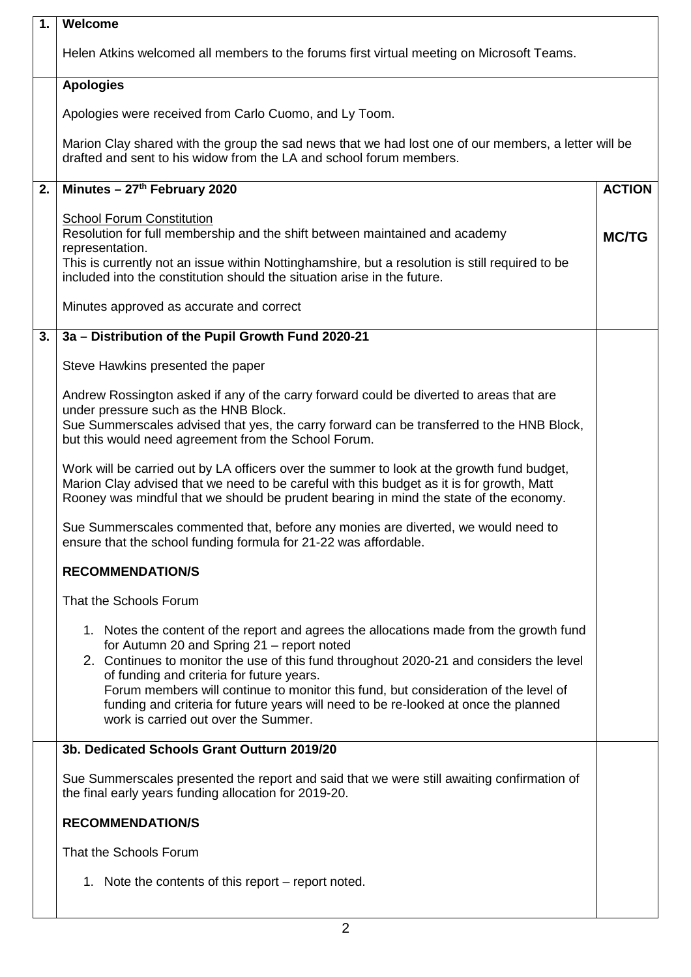| 1. | Welcome                                                                                                                                                                                                                                                                                                                                                                                                                                                                                             |               |  |  |  |  |
|----|-----------------------------------------------------------------------------------------------------------------------------------------------------------------------------------------------------------------------------------------------------------------------------------------------------------------------------------------------------------------------------------------------------------------------------------------------------------------------------------------------------|---------------|--|--|--|--|
|    | Helen Atkins welcomed all members to the forums first virtual meeting on Microsoft Teams.                                                                                                                                                                                                                                                                                                                                                                                                           |               |  |  |  |  |
|    | <b>Apologies</b>                                                                                                                                                                                                                                                                                                                                                                                                                                                                                    |               |  |  |  |  |
|    | Apologies were received from Carlo Cuomo, and Ly Toom.                                                                                                                                                                                                                                                                                                                                                                                                                                              |               |  |  |  |  |
|    | Marion Clay shared with the group the sad news that we had lost one of our members, a letter will be<br>drafted and sent to his widow from the LA and school forum members.                                                                                                                                                                                                                                                                                                                         |               |  |  |  |  |
| 2. | Minutes - 27 <sup>th</sup> February 2020                                                                                                                                                                                                                                                                                                                                                                                                                                                            | <b>ACTION</b> |  |  |  |  |
|    | <b>School Forum Constitution</b><br>Resolution for full membership and the shift between maintained and academy<br>representation.<br>This is currently not an issue within Nottinghamshire, but a resolution is still required to be<br>included into the constitution should the situation arise in the future.                                                                                                                                                                                   | <b>MC/TG</b>  |  |  |  |  |
|    | Minutes approved as accurate and correct                                                                                                                                                                                                                                                                                                                                                                                                                                                            |               |  |  |  |  |
| 3. | 3a - Distribution of the Pupil Growth Fund 2020-21                                                                                                                                                                                                                                                                                                                                                                                                                                                  |               |  |  |  |  |
|    | Steve Hawkins presented the paper                                                                                                                                                                                                                                                                                                                                                                                                                                                                   |               |  |  |  |  |
|    | Andrew Rossington asked if any of the carry forward could be diverted to areas that are<br>under pressure such as the HNB Block.<br>Sue Summerscales advised that yes, the carry forward can be transferred to the HNB Block,<br>but this would need agreement from the School Forum.                                                                                                                                                                                                               |               |  |  |  |  |
|    | Work will be carried out by LA officers over the summer to look at the growth fund budget,<br>Marion Clay advised that we need to be careful with this budget as it is for growth, Matt<br>Rooney was mindful that we should be prudent bearing in mind the state of the economy.                                                                                                                                                                                                                   |               |  |  |  |  |
|    | Sue Summerscales commented that, before any monies are diverted, we would need to<br>ensure that the school funding formula for 21-22 was affordable.                                                                                                                                                                                                                                                                                                                                               |               |  |  |  |  |
|    | <b>RECOMMENDATION/S</b>                                                                                                                                                                                                                                                                                                                                                                                                                                                                             |               |  |  |  |  |
|    | That the Schools Forum                                                                                                                                                                                                                                                                                                                                                                                                                                                                              |               |  |  |  |  |
|    | 1. Notes the content of the report and agrees the allocations made from the growth fund<br>for Autumn 20 and Spring 21 - report noted<br>2. Continues to monitor the use of this fund throughout 2020-21 and considers the level<br>of funding and criteria for future years.<br>Forum members will continue to monitor this fund, but consideration of the level of<br>funding and criteria for future years will need to be re-looked at once the planned<br>work is carried out over the Summer. |               |  |  |  |  |
|    | 3b. Dedicated Schools Grant Outturn 2019/20                                                                                                                                                                                                                                                                                                                                                                                                                                                         |               |  |  |  |  |
|    | Sue Summerscales presented the report and said that we were still awaiting confirmation of<br>the final early years funding allocation for 2019-20.                                                                                                                                                                                                                                                                                                                                                 |               |  |  |  |  |
|    | <b>RECOMMENDATION/S</b>                                                                                                                                                                                                                                                                                                                                                                                                                                                                             |               |  |  |  |  |
|    | That the Schools Forum                                                                                                                                                                                                                                                                                                                                                                                                                                                                              |               |  |  |  |  |
|    | 1. Note the contents of this report – report noted.                                                                                                                                                                                                                                                                                                                                                                                                                                                 |               |  |  |  |  |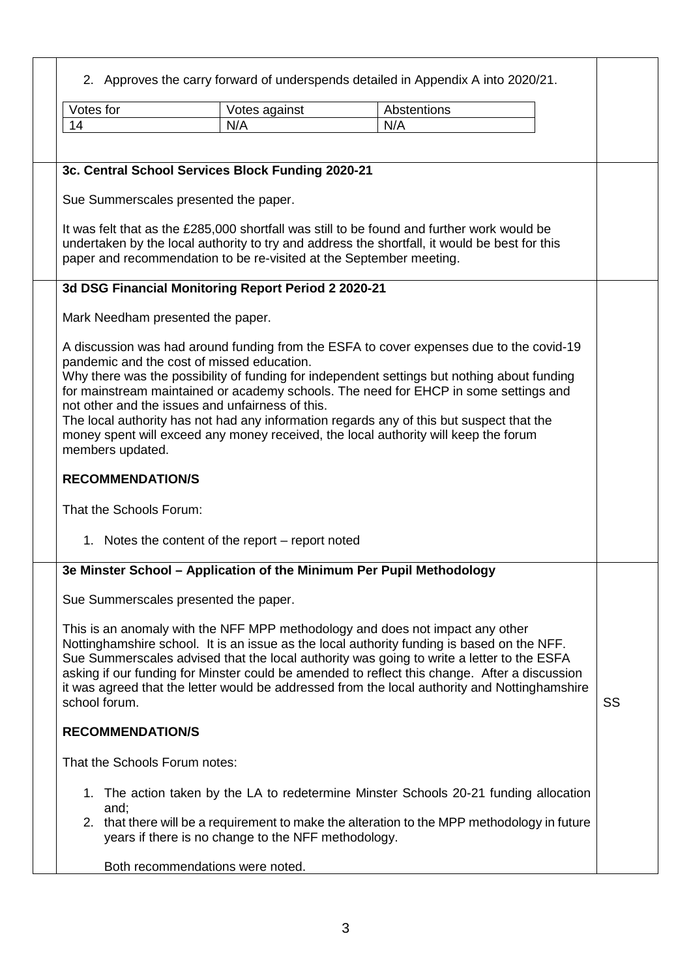2. Approves the carry forward of underspends detailed in Appendix A into 2020/21.

|                                                                     |                                                                                                                                                    |                                                                                            | 2. Approves the carry forward of underspends detailed in Appendix A into 2020/21.                                                                                                              |     |             |  |  |    |
|---------------------------------------------------------------------|----------------------------------------------------------------------------------------------------------------------------------------------------|--------------------------------------------------------------------------------------------|------------------------------------------------------------------------------------------------------------------------------------------------------------------------------------------------|-----|-------------|--|--|----|
|                                                                     | Votes for                                                                                                                                          |                                                                                            | Votes against                                                                                                                                                                                  |     | Abstentions |  |  |    |
|                                                                     | 14                                                                                                                                                 |                                                                                            | N/A                                                                                                                                                                                            | N/A |             |  |  |    |
|                                                                     |                                                                                                                                                    |                                                                                            |                                                                                                                                                                                                |     |             |  |  |    |
|                                                                     |                                                                                                                                                    |                                                                                            |                                                                                                                                                                                                |     |             |  |  |    |
|                                                                     |                                                                                                                                                    | 3c. Central School Services Block Funding 2020-21                                          |                                                                                                                                                                                                |     |             |  |  |    |
|                                                                     |                                                                                                                                                    | Sue Summerscales presented the paper.                                                      |                                                                                                                                                                                                |     |             |  |  |    |
|                                                                     |                                                                                                                                                    | It was felt that as the £285,000 shortfall was still to be found and further work would be |                                                                                                                                                                                                |     |             |  |  |    |
|                                                                     | undertaken by the local authority to try and address the shortfall, it would be best for this                                                      |                                                                                            |                                                                                                                                                                                                |     |             |  |  |    |
| paper and recommendation to be re-visited at the September meeting. |                                                                                                                                                    |                                                                                            |                                                                                                                                                                                                |     |             |  |  |    |
|                                                                     |                                                                                                                                                    |                                                                                            | 3d DSG Financial Monitoring Report Period 2 2020-21                                                                                                                                            |     |             |  |  |    |
|                                                                     |                                                                                                                                                    |                                                                                            |                                                                                                                                                                                                |     |             |  |  |    |
|                                                                     |                                                                                                                                                    | Mark Needham presented the paper.                                                          |                                                                                                                                                                                                |     |             |  |  |    |
|                                                                     |                                                                                                                                                    |                                                                                            | A discussion was had around funding from the ESFA to cover expenses due to the covid-19                                                                                                        |     |             |  |  |    |
|                                                                     |                                                                                                                                                    | pandemic and the cost of missed education.                                                 |                                                                                                                                                                                                |     |             |  |  |    |
|                                                                     |                                                                                                                                                    |                                                                                            | Why there was the possibility of funding for independent settings but nothing about funding                                                                                                    |     |             |  |  |    |
|                                                                     |                                                                                                                                                    |                                                                                            | for mainstream maintained or academy schools. The need for EHCP in some settings and<br>not other and the issues and unfairness of this.                                                       |     |             |  |  |    |
|                                                                     |                                                                                                                                                    |                                                                                            | The local authority has not had any information regards any of this but suspect that the                                                                                                       |     |             |  |  |    |
|                                                                     |                                                                                                                                                    | money spent will exceed any money received, the local authority will keep the forum        |                                                                                                                                                                                                |     |             |  |  |    |
|                                                                     |                                                                                                                                                    | members updated.                                                                           |                                                                                                                                                                                                |     |             |  |  |    |
|                                                                     |                                                                                                                                                    | <b>RECOMMENDATION/S</b>                                                                    |                                                                                                                                                                                                |     |             |  |  |    |
|                                                                     |                                                                                                                                                    |                                                                                            |                                                                                                                                                                                                |     |             |  |  |    |
|                                                                     |                                                                                                                                                    | That the Schools Forum:                                                                    |                                                                                                                                                                                                |     |             |  |  |    |
|                                                                     |                                                                                                                                                    |                                                                                            | 1. Notes the content of the report – report noted                                                                                                                                              |     |             |  |  |    |
|                                                                     |                                                                                                                                                    |                                                                                            | 3e Minster School - Application of the Minimum Per Pupil Methodology                                                                                                                           |     |             |  |  |    |
|                                                                     |                                                                                                                                                    |                                                                                            |                                                                                                                                                                                                |     |             |  |  |    |
|                                                                     |                                                                                                                                                    | Sue Summerscales presented the paper.                                                      |                                                                                                                                                                                                |     |             |  |  |    |
|                                                                     |                                                                                                                                                    |                                                                                            | This is an anomaly with the NFF MPP methodology and does not impact any other                                                                                                                  |     |             |  |  |    |
|                                                                     |                                                                                                                                                    |                                                                                            | Nottinghamshire school. It is an issue as the local authority funding is based on the NFF.                                                                                                     |     |             |  |  |    |
|                                                                     |                                                                                                                                                    |                                                                                            | Sue Summerscales advised that the local authority was going to write a letter to the ESFA                                                                                                      |     |             |  |  |    |
|                                                                     |                                                                                                                                                    |                                                                                            | asking if our funding for Minster could be amended to reflect this change. After a discussion<br>it was agreed that the letter would be addressed from the local authority and Nottinghamshire |     |             |  |  |    |
|                                                                     | school forum.                                                                                                                                      |                                                                                            |                                                                                                                                                                                                |     |             |  |  | SS |
|                                                                     |                                                                                                                                                    | <b>RECOMMENDATION/S</b>                                                                    |                                                                                                                                                                                                |     |             |  |  |    |
|                                                                     |                                                                                                                                                    |                                                                                            |                                                                                                                                                                                                |     |             |  |  |    |
|                                                                     | That the Schools Forum notes:                                                                                                                      |                                                                                            |                                                                                                                                                                                                |     |             |  |  |    |
|                                                                     |                                                                                                                                                    |                                                                                            | 1. The action taken by the LA to redetermine Minster Schools 20-21 funding allocation                                                                                                          |     |             |  |  |    |
|                                                                     |                                                                                                                                                    | and;                                                                                       |                                                                                                                                                                                                |     |             |  |  |    |
|                                                                     | 2. that there will be a requirement to make the alteration to the MPP methodology in future<br>years if there is no change to the NFF methodology. |                                                                                            |                                                                                                                                                                                                |     |             |  |  |    |
|                                                                     |                                                                                                                                                    |                                                                                            |                                                                                                                                                                                                |     |             |  |  |    |
|                                                                     |                                                                                                                                                    | Both recommendations were noted.                                                           |                                                                                                                                                                                                |     |             |  |  |    |